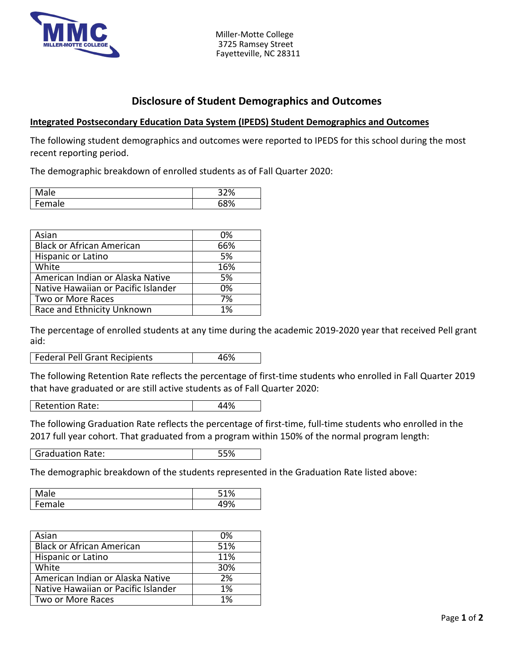

 Miller-Motte College 3725 Ramsey Street Fayetteville, NC 28311

## **Disclosure of Student Demographics and Outcomes**

## **Integrated Postsecondary Education Data System (IPEDS) Student Demographics and Outcomes**

The following student demographics and outcomes were reported to IPEDS for this school during the most recent reporting period.

The demographic breakdown of enrolled students as of Fall Quarter 2020:

| ale  | 32%  |
|------|------|
| iale | .00/ |
| er   | u    |

| Asian                               | 0%  |
|-------------------------------------|-----|
| <b>Black or African American</b>    | 66% |
| Hispanic or Latino                  | 5%  |
| White                               | 16% |
| American Indian or Alaska Native    | 5%  |
| Native Hawaiian or Pacific Islander | 0%  |
| Two or More Races                   | 7%  |
| Race and Ethnicity Unknown          | 1%  |

The percentage of enrolled students at any time during the academic 2019-2020 year that received Pell grant aid:

Federal Pell Grant Recipients 46%

The following Retention Rate reflects the percentage of first-time students who enrolled in Fall Quarter 2019 that have graduated or are still active students as of Fall Quarter 2020:

Retention Rate: 44%

The following Graduation Rate reflects the percentage of first-time, full-time students who enrolled in the 2017 full year cohort. That graduated from a program within 150% of the normal program length:

Graduation Rate: 55%

The demographic breakdown of the students represented in the Graduation Rate listed above:

| ۵۱<br>-<br>uw          | <b>-401</b><br>٬٥ |
|------------------------|-------------------|
| $\rho$ m<br>ale<br>- 1 | ′ο                |

| Asian                               | 0%  |
|-------------------------------------|-----|
| <b>Black or African American</b>    | 51% |
| Hispanic or Latino                  | 11% |
| White                               | 30% |
| American Indian or Alaska Native    | 2%  |
| Native Hawaiian or Pacific Islander | 1%  |
| Two or More Races                   | 1%  |